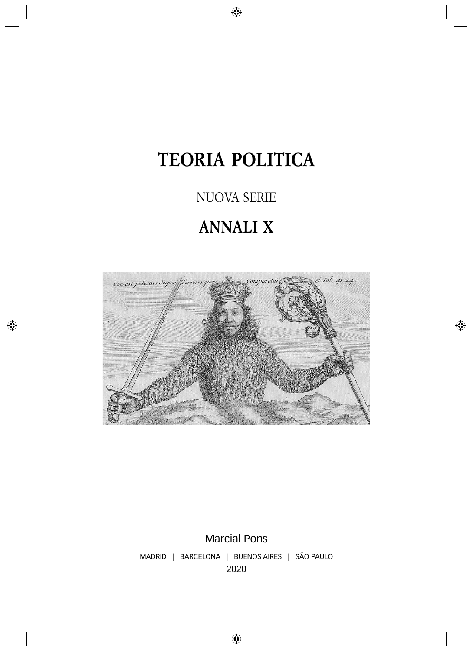# **TEORIA POLITICA**

### NUOVA SERIE

## **ANNALI X**



Marcial Pons MADRID | BARCELONA | BUENOS AIRES | SÃO PAULO 2020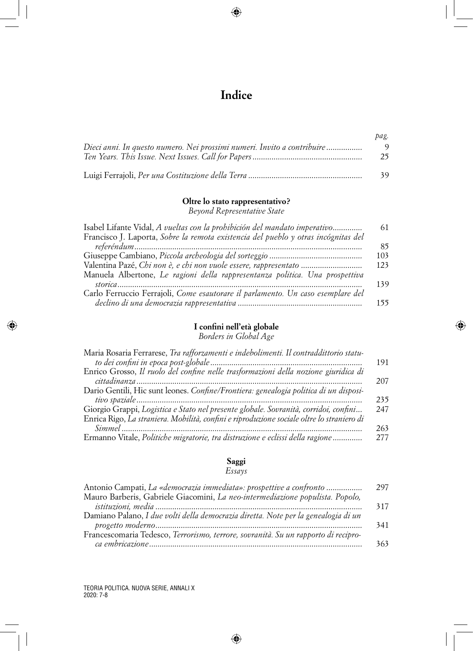### **Indice**

|                                                                         | pag. |
|-------------------------------------------------------------------------|------|
| Dieci anni. In questo numero. Nei prossimi numeri. Invito a contribuire |      |
|                                                                         | 25   |
|                                                                         | 39   |

#### **Oltre lo stato rappresentativo?**

*Beyond Representative State*

| Isabel Lifante Vidal, A vueltas con la prohibición del mandato imperativo          | 61  |
|------------------------------------------------------------------------------------|-----|
| Francisco J. Laporta, Sobre la remota existencia del pueblo y otras incógnitas del |     |
|                                                                                    | 85  |
|                                                                                    | 103 |
| Valentina Pazé, Chi non è, e chi non vuole essere, rappresentato                   | 123 |
| Manuela Albertone, Le ragioni della rappresentanza politica. Una prospettiva       |     |
|                                                                                    | 139 |
| Carlo Ferruccio Ferrajoli, Come esautorare il parlamento. Un caso esemplare del    |     |
|                                                                                    | 155 |

#### **I confini nell'età globale**

*Borders in Global Age*

| Maria Rosaria Ferrarese, Tra rafforzamenti e indebolimenti. Il contraddittorio statu-     |     |
|-------------------------------------------------------------------------------------------|-----|
|                                                                                           | 191 |
| Enrico Grosso, Il ruolo del confine nelle trasformazioni della nozione giuridica di       |     |
|                                                                                           | 207 |
| Dario Gentili, Hic sunt leones. Confine/Frontiera: genealogia politica di un disposi-     |     |
|                                                                                           | 235 |
| Giorgio Grappi, Logistica e Stato nel presente globale. Sovranità, corridoi, confini      | 247 |
| Enrica Rigo, La straniera. Mobilità, confini e riproduzione sociale oltre lo straniero di |     |
|                                                                                           | 263 |
| Ermanno Vitale, Politiche migratorie, tra distruzione e eclissi della ragione             | 277 |

#### **Saggi**

#### *Essays*

| Antonio Campati, La «democrazia immediata»: prospettive a confronto                | 297 |
|------------------------------------------------------------------------------------|-----|
| Mauro Barberis, Gabriele Giacomini, La neo-intermediazione populista. Popolo,      |     |
|                                                                                    | 317 |
| Damiano Palano, I due volti della democrazia diretta. Note per la genealogia di un |     |
|                                                                                    | 341 |
| Francescomaria Tedesco, Terrorismo, terrore, sovranità. Su un rapporto di recipro- |     |
|                                                                                    | 363 |
|                                                                                    |     |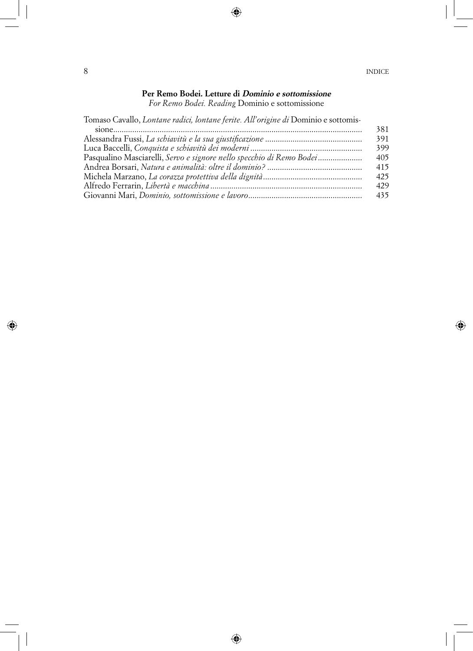#### **Per Remo Bodei. Letture di Dominio e sottomissione**

*For Remo Bodei. Reading* Dominio e sottomissione

Tomaso Cavallo, *Lontane radici, lontane ferite. All'origine di* Dominio e sottomis-

|                                                                      | 381 |
|----------------------------------------------------------------------|-----|
|                                                                      | 391 |
|                                                                      | 399 |
| Pasqualino Masciarelli, Servo e signore nello specchio di Remo Bodei | 405 |
|                                                                      | 415 |
|                                                                      | 425 |
|                                                                      | 429 |
|                                                                      | 435 |
|                                                                      |     |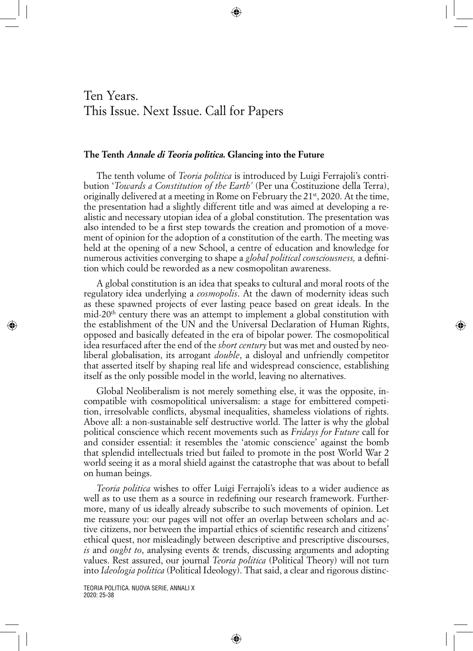### Ten Years. This Issue. Next Issue. Call for Papers

#### **The Tenth Annale di Teoria politica. Glancing into the Future**

The tenth volume of *Teoria politica* is introduced by Luigi Ferrajoli's contribution '*Towards a Constitution of the Earth'* (Per una Costituzione della Terra), originally delivered at a meeting in Rome on February the 21<sup>st</sup>, 2020. At the time, the presentation had a slightly different title and was aimed at developing a realistic and necessary utopian idea of a global constitution. The presentation was also intended to be a first step towards the creation and promotion of a movement of opinion for the adoption of a constitution of the earth. The meeting was held at the opening of a new School, a centre of education and knowledge for numerous activities converging to shape a *global political consciousness,* a definition which could be reworded as a new cosmopolitan awareness.

A global constitution is an idea that speaks to cultural and moral roots of the regulatory idea underlying a *cosmopolis*. At the dawn of modernity ideas such as these spawned projects of ever lasting peace based on great ideals. In the  $mid-20<sup>th</sup>$  century there was an attempt to implement a global constitution with the establishment of the UN and the Universal Declaration of Human Rights, opposed and basically defeated in the era of bipolar power. The cosmopolitical idea resurfaced after the end of the *short century* but was met and ousted by neoliberal globalisation, its arrogant *double*, a disloyal and unfriendly competitor that asserted itself by shaping real life and widespread conscience, establishing itself as the only possible model in the world, leaving no alternatives.

Global Neoliberalism is not merely something else, it was the opposite, incompatible with cosmopolitical universalism: a stage for embittered competition, irresolvable conflicts, abysmal inequalities, shameless violations of rights. Above all: a non-sustainable self destructive world. The latter is why the global political conscience which recent movements such as *Fridays for Future* call for and consider essential: it resembles the 'atomic conscience' against the bomb that splendid intellectuals tried but failed to promote in the post World War 2 world seeing it as a moral shield against the catastrophe that was about to befall on human beings.

*Teoria politica* wishes to offer Luigi Ferrajoli's ideas to a wider audience as well as to use them as a source in redefining our research framework. Furthermore, many of us ideally already subscribe to such movements of opinion. Let me reassure you: our pages will not offer an overlap between scholars and active citizens, nor between the impartial ethics of scientific research and citizens' ethical quest, nor misleadingly between descriptive and prescriptive discourses, *is* and *ought to*, analysing events & trends, discussing arguments and adopting values. Rest assured, our journal *Teoria politica* (Political Theory) will not turn into *Ideologia politica* (Political Ideology). That said, a clear and rigorous distinc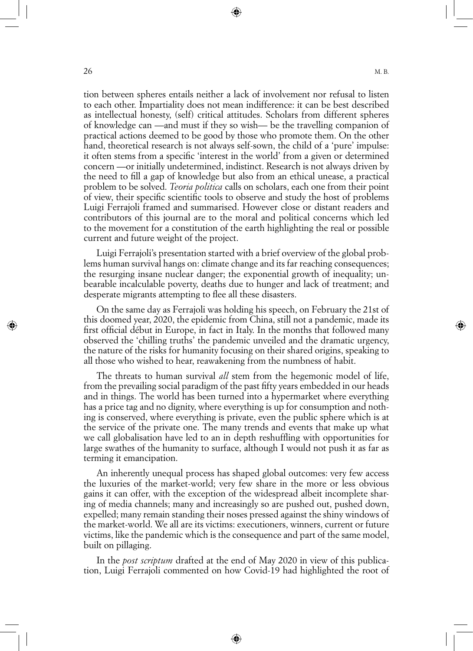tion between spheres entails neither a lack of involvement nor refusal to listen to each other. Impartiality does not mean indifference: it can be best described as intellectual honesty, (self) critical attitudes. Scholars from different spheres of knowledge can —and must if they so wish— be the travelling companion of practical actions deemed to be good by those who promote them. On the other hand, theoretical research is not always self-sown, the child of a 'pure' impulse: it often stems from a specific 'interest in the world' from a given or determined concern —or initially undetermined, indistinct. Research is not always driven by the need to fill a gap of knowledge but also from an ethical unease, a practical problem to be solved. *Teoria politica* calls on scholars, each one from their point of view, their specific scientific tools to observe and study the host of problems Luigi Ferrajoli framed and summarised. However close or distant readers and contributors of this journal are to the moral and political concerns which led to the movement for a constitution of the earth highlighting the real or possible current and future weight of the project.

Luigi Ferrajoli's presentation started with a brief overview of the global problems human survival hangs on: climate change and its far reaching consequences; the resurging insane nuclear danger; the exponential growth of inequality; unbearable incalculable poverty, deaths due to hunger and lack of treatment; and desperate migrants attempting to flee all these disasters.

On the same day as Ferrajoli was holding his speech, on February the 21st of this doomed year, 2020, the epidemic from China, still not a pandemic, made its first official début in Europe, in fact in Italy. In the months that followed many observed the 'chilling truths' the pandemic unveiled and the dramatic urgency, the nature of the risks for humanity focusing on their shared origins, speaking to all those who wished to hear, reawakening from the numbness of habit.

The threats to human survival *all* stem from the hegemonic model of life, from the prevailing social paradigm of the past fifty years embedded in our heads and in things. The world has been turned into a hypermarket where everything has a price tag and no dignity, where everything is up for consumption and nothing is conserved, where everything is private, even the public sphere which is at the service of the private one. The many trends and events that make up what we call globalisation have led to an in depth reshuffling with opportunities for large swathes of the humanity to surface, although I would not push it as far as terming it emancipation.

An inherently unequal process has shaped global outcomes: very few access the luxuries of the market-world; very few share in the more or less obvious gains it can offer, with the exception of the widespread albeit incomplete sharing of media channels; many and increasingly so are pushed out, pushed down, expelled; many remain standing their noses pressed against the shiny windows of the market-world. We all are its victims: executioners, winners, current or future victims, like the pandemic which is the consequence and part of the same model, built on pillaging.

In the *post scriptum* drafted at the end of May 2020 in view of this publication, Luigi Ferrajoli commented on how Covid-19 had highlighted the root of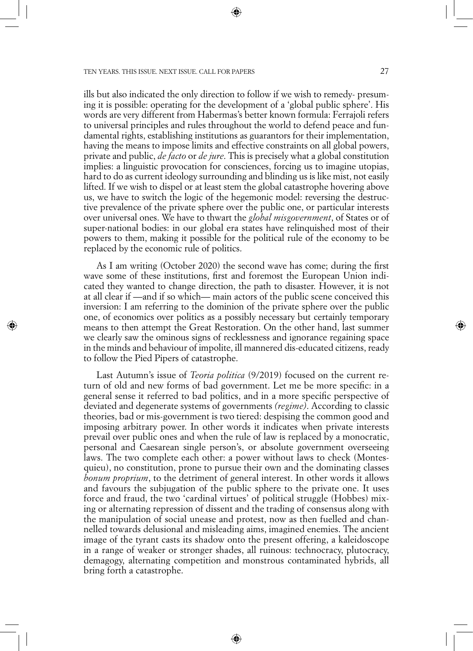ills but also indicated the only direction to follow if we wish to remedy- presuming it is possible: operating for the development of a 'global public sphere'. His words are very different from Habermas's better known formula: Ferrajoli refers to universal principles and rules throughout the world to defend peace and fundamental rights, establishing institutions as guarantors for their implementation, having the means to impose limits and effective constraints on all global powers, private and public, *de facto* or *de jure*. This is precisely what a global constitution implies: a linguistic provocation for consciences, forcing us to imagine utopias, hard to do as current ideology surrounding and blinding us is like mist, not easily lifted. If we wish to dispel or at least stem the global catastrophe hovering above us, we have to switch the logic of the hegemonic model: reversing the destructive prevalence of the private sphere over the public one, or particular interests over universal ones. We have to thwart the *global misgovernment*, of States or of super-national bodies: in our global era states have relinquished most of their powers to them, making it possible for the political rule of the economy to be replaced by the economic rule of politics.

As I am writing (October 2020) the second wave has come; during the first wave some of these institutions, first and foremost the European Union indicated they wanted to change direction, the path to disaster. However, it is not at all clear if —and if so which— main actors of the public scene conceived this inversion: I am referring to the dominion of the private sphere over the public one, of economics over politics as a possibly necessary but certainly temporary means to then attempt the Great Restoration. On the other hand, last summer we clearly saw the ominous signs of recklessness and ignorance regaining space in the minds and behaviour of impolite, ill mannered dis-educated citizens, ready to follow the Pied Pipers of catastrophe.

Last Autumn's issue of *Teoria politica* (9/2019) focused on the current return of old and new forms of bad government. Let me be more specific: in a general sense it referred to bad politics, and in a more specific perspective of deviated and degenerate systems of governments *(regime)*. According to classic theories, bad or mis-government is two tiered: despising the common good and imposing arbitrary power. In other words it indicates when private interests prevail over public ones and when the rule of law is replaced by a monocratic, personal and Caesarean single person's, or absolute government overseeing laws. The two complete each other: a power without laws to check (Montesquieu), no constitution, prone to pursue their own and the dominating classes *bonum proprium*, to the detriment of general interest. In other words it allows and favours the subjugation of the public sphere to the private one. It uses force and fraud, the two 'cardinal virtues' of political struggle (Hobbes) mixing or alternating repression of dissent and the trading of consensus along with the manipulation of social unease and protest, now as then fuelled and channelled towards delusional and misleading aims, imagined enemies. The ancient image of the tyrant casts its shadow onto the present offering, a kaleidoscope in a range of weaker or stronger shades, all ruinous: technocracy, plutocracy, demagogy, alternating competition and monstrous contaminated hybrids, all bring forth a catastrophe.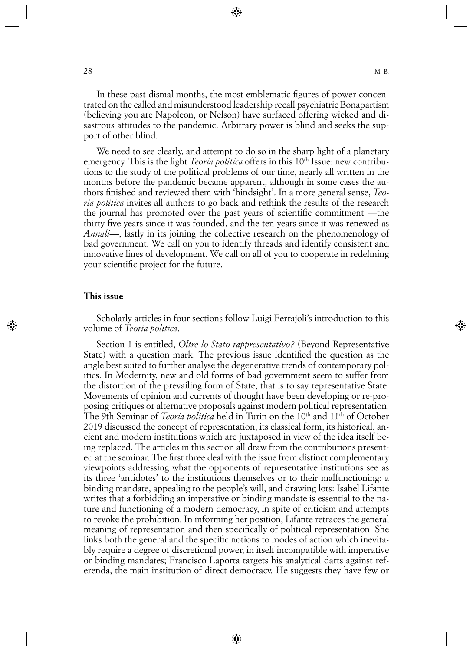In these past dismal months, the most emblematic figures of power concentrated on the called and misunderstood leadership recall psychiatric Bonapartism (believing you are Napoleon, or Nelson) have surfaced offering wicked and disastrous attitudes to the pandemic. Arbitrary power is blind and seeks the support of other blind.

We need to see clearly, and attempt to do so in the sharp light of a planetary emergency. This is the light *Teoria politica* offers in this 10<sup>th</sup> Issue: new contributions to the study of the political problems of our time, nearly all written in the months before the pandemic became apparent, although in some cases the authors finished and reviewed them with 'hindsight'. In a more general sense, *Teoria politica* invites all authors to go back and rethink the results of the research the journal has promoted over the past years of scientific commitment —the thirty five years since it was founded, and the ten years since it was renewed as *Annali*—, lastly in its joining the collective research on the phenomenology of bad government. We call on you to identify threads and identify consistent and innovative lines of development. We call on all of you to cooperate in redefining your scientific project for the future.

#### **This issue**

Scholarly articles in four sections follow Luigi Ferrajoli's introduction to this volume of *Teoria politica*.

Section 1 is entitled, *Oltre lo Stato rappresentativo?* (Beyond Representative State) with a question mark. The previous issue identified the question as the angle best suited to further analyse the degenerative trends of contemporary politics. In Modernity, new and old forms of bad government seem to suffer from the distortion of the prevailing form of State, that is to say representative State. Movements of opinion and currents of thought have been developing or re-proposing critiques or alternative proposals against modern political representation. The 9th Seminar of *Teoria politica* held in Turin on the 10<sup>th</sup> and 11<sup>th</sup> of October 2019 discussed the concept of representation, its classical form, its historical, ancient and modern institutions which are juxtaposed in view of the idea itself being replaced. The articles in this section all draw from the contributions presented at the seminar. The first three deal with the issue from distinct complementary viewpoints addressing what the opponents of representative institutions see as its three 'antidotes' to the institutions themselves or to their malfunctioning: a binding mandate, appealing to the people's will, and drawing lots: Isabel Lifante writes that a forbidding an imperative or binding mandate is essential to the nature and functioning of a modern democracy, in spite of criticism and attempts to revoke the prohibition. In informing her position, Lifante retraces the general meaning of representation and then specifically of political representation. She links both the general and the specific notions to modes of action which inevitably require a degree of discretional power, in itself incompatible with imperative or binding mandates; Francisco Laporta targets his analytical darts against referenda, the main institution of direct democracy. He suggests they have few or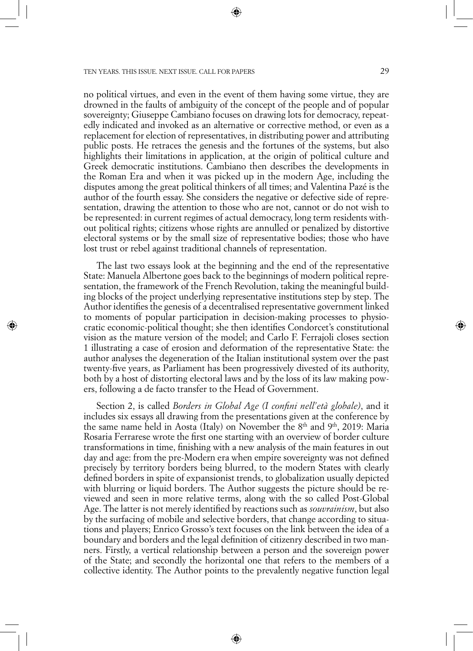no political virtues, and even in the event of them having some virtue, they are drowned in the faults of ambiguity of the concept of the people and of popular sovereignty; Giuseppe Cambiano focuses on drawing lots for democracy, repeatedly indicated and invoked as an alternative or corrective method, or even as a replacement for election of representatives, in distributing power and attributing public posts. He retraces the genesis and the fortunes of the systems, but also highlights their limitations in application, at the origin of political culture and Greek democratic institutions. Cambiano then describes the developments in the Roman Era and when it was picked up in the modern Age, including the disputes among the great political thinkers of all times; and Valentina Pazé is the author of the fourth essay. She considers the negative or defective side of representation, drawing the attention to those who are not, cannot or do not wish to be represented: in current regimes of actual democracy, long term residents without political rights; citizens whose rights are annulled or penalized by distortive electoral systems or by the small size of representative bodies; those who have lost trust or rebel against traditional channels of representation.

The last two essays look at the beginning and the end of the representative State: Manuela Albertone goes back to the beginnings of modern political representation, the framework of the French Revolution, taking the meaningful building blocks of the project underlying representative institutions step by step. The Author identifies the genesis of a decentralised representative government linked to moments of popular participation in decision-making processes to physiocratic economic-political thought; she then identifies Condorcet's constitutional vision as the mature version of the model; and Carlo F. Ferrajoli closes section 1 illustrating a case of erosion and deformation of the representative State: the author analyses the degeneration of the Italian institutional system over the past twenty-five years, as Parliament has been progressively divested of its authority, both by a host of distorting electoral laws and by the loss of its law making powers, following a de facto transfer to the Head of Government.

Section 2, is called *Borders in Global Age (I confini nell'età globale)*, and it includes six essays all drawing from the presentations given at the conference by the same name held in Aosta (Italy) on November the  $8<sup>th</sup>$  and  $9<sup>th</sup>$ , 2019: Maria Rosaria Ferrarese wrote the first one starting with an overview of border culture transformations in time, finishing with a new analysis of the main features in out day and age: from the pre-Modern era when empire sovereignty was not defined precisely by territory borders being blurred, to the modern States with clearly defined borders in spite of expansionist trends, to globalization usually depicted with blurring or liquid borders. The Author suggests the picture should be reviewed and seen in more relative terms, along with the so called Post-Global Age. The latter is not merely identified by reactions such as *souvrainism*, but also by the surfacing of mobile and selective borders, that change according to situations and players; Enrico Grosso's text focuses on the link between the idea of a boundary and borders and the legal definition of citizenry described in two manners. Firstly, a vertical relationship between a person and the sovereign power of the State; and secondly the horizontal one that refers to the members of a collective identity. The Author points to the prevalently negative function legal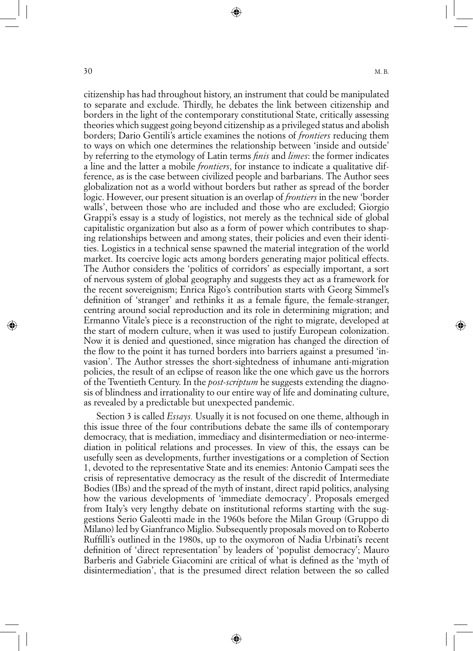citizenship has had throughout history, an instrument that could be manipulated to separate and exclude. Thirdly, he debates the link between citizenship and borders in the light of the contemporary constitutional State, critically assessing theories which suggest going beyond citizenship as a privileged status and abolish borders; Dario Gentili's article examines the notions of *frontiers* reducing them to ways on which one determines the relationship between 'inside and outside' by referring to the etymology of Latin terms *finis* and *limes*: the former indicates a line and the latter a mobile *frontiers*, for instance to indicate a qualitative difference, as is the case between civilized people and barbarians. The Author sees globalization not as a world without borders but rather as spread of the border logic. However, our present situation is an overlap of *frontiers* in the new 'border walls', between those who are included and those who are excluded; Giorgio Grappi's essay is a study of logistics, not merely as the technical side of global capitalistic organization but also as a form of power which contributes to shaping relationships between and among states, their policies and even their identities. Logistics in a technical sense spawned the material integration of the world market. Its coercive logic acts among borders generating major political effects. The Author considers the 'politics of corridors' as especially important, a sort of nervous system of global geography and suggests they act as a framework for the recent sovereignism; Enrica Rigo's contribution starts with Georg Simmel's definition of 'stranger' and rethinks it as a female figure, the female-stranger, centring around social reproduction and its role in determining migration; and Ermanno Vitale's piece is a reconstruction of the right to migrate, developed at the start of modern culture, when it was used to justify European colonization. Now it is denied and questioned, since migration has changed the direction of the flow to the point it has turned borders into barriers against a presumed 'invasion'. The Author stresses the short-sightedness of inhumane anti-migration policies, the result of an eclipse of reason like the one which gave us the horrors of the Twentieth Century. In the *post-scriptum* he suggests extending the diagnosis of blindness and irrationality to our entire way of life and dominating culture, as revealed by a predictable but unexpected pandemic.

Section 3 is called *Essays.* Usually it is not focused on one theme, although in this issue three of the four contributions debate the same ills of contemporary democracy, that is mediation, immediacy and disintermediation or neo-intermediation in political relations and processes. In view of this, the essays can be usefully seen as developments, further investigations or a completion of Section 1, devoted to the representative State and its enemies: Antonio Campati sees the crisis of representative democracy as the result of the discredit of Intermediate Bodies (IBs) and the spread of the myth of instant, direct rapid politics, analysing how the various developments of 'immediate democracy'. Proposals emerged from Italy's very lengthy debate on institutional reforms starting with the suggestions Serio Galeotti made in the 1960s before the Milan Group (Gruppo di Milano) led by Gianfranco Miglio. Subsequently proposals moved on to Roberto Ruffilli's outlined in the 1980s, up to the oxymoron of Nadia Urbinati's recent definition of 'direct representation' by leaders of 'populist democracy'; Mauro Barberis and Gabriele Giacomini are critical of what is defined as the 'myth of disintermediation', that is the presumed direct relation between the so called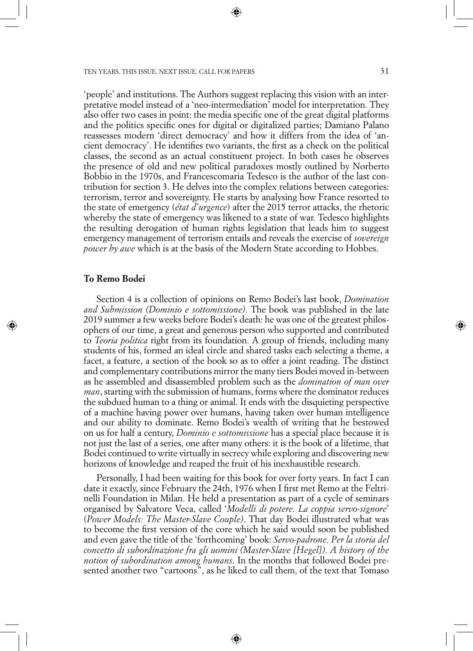'people' and institutions. The Authors suggest replacing this vision with an interpretative model instead of a 'neo-intermediation' model for interpretation. They also offer two cases in point: the media specific one of the great digital platforms and the politics specific ones for digital or digitalized parties; Damiano Palano reassesses modern 'direct democracy' and how it differs from the idea of 'ancient democracy'. He identifies two variants, the first as a check on the political classes, the second as an actual constituent project. In both cases he observes the presence of old and new political paradoxes mostly outlined by Norberto Bobbio in the 1970s, and Francescomaria Tedesco is the author of the last contribution for section 3. He delves into the complex relations between categories: terrorism, terror and sovereignty. He starts by analysing how France resorted to the state of emergency (*état d'urgence*) after the 2015 terror attacks, the rhetoric whereby the state of emergency was likened to a state of war. Tedesco highlights the resulting derogation of human rights legislation that leads him to suggest emergency management of terrorism entails and reveals the exercise of *sovereign power by awe* which is at the basis of the Modern State according to Hobbes.

#### **To Remo Bodei**

Section 4 is a collection of opinions on Remo Bodei's last book, *Domination and Submission (Dominio e sottomissione)*. The book was published in the late 2019 summer a few weeks before Bodei's death: he was one of the greatest philosophers of our time, a great and generous person who supported and contributed to *Teoria politica* right from its foundation. A group of friends, including many students of his, formed an ideal circle and shared tasks each selecting a theme, a facet, a feature, a section of the book so as to offer a joint reading. The distinct and complementary contributions mirror the many tiers Bodei moved in-between as he assembled and disassembled problem such as the *domination of man over man*, starting with the submission of humans, forms where the dominator reduces the subdued human to a thing or animal. It ends with the disquieting perspective of a machine having power over humans, having taken over human intelligence and our ability to dominate. Remo Bodei's wealth of writing that he bestowed on us for half a century, *Dominio e sottomissione* has a special place because it is not just the last of a series, one after many others: it is the book of a lifetime, that Bodei continued to write virtually in secrecy while exploring and discovering new horizons of knowledge and reaped the fruit of his inexhaustible research.

Personally, I had been waiting for this book for over forty years. In fact I can date it exactly, since February the 24th, 1976 when I first met Remo at the Feltrinelli Foundation in Milan. He held a presentation as part of a cycle of seminars organised by Salvatore Veca, called '*Modelli di potere. La coppia servo-signore*' (*Power Models: The Master-Slave Couple)*. That day Bodei illustrated what was to become the first version of the core which he said would soon be published and even gave the title of the 'forthcoming' book: *Servo-padrone. Per la storia del concetto di subordinazione fra gli uomini (Master-Slave [Hegel]). A history of the notion of subordination among humans*. In the months that followed Bodei presented another two "cartoons", as he liked to call them, of the text that Tomaso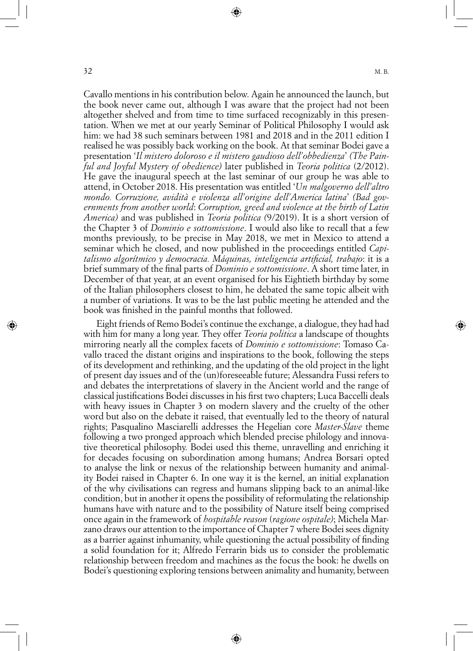Cavallo mentions in his contribution below. Again he announced the launch, but the book never came out, although I was aware that the project had not been altogether shelved and from time to time surfaced recognizably in this presentation. When we met at our yearly Seminar of Political Philosophy I would ask him: we had 38 such seminars between 1981 and 2018 and in the 2011 edition I realised he was possibly back working on the book. At that seminar Bodei gave a presentation '*Il mistero doloroso e il mistero gaudioso dell'obbedienza*' *(The Painful and Joyful Mystery of obedience)* later published in *Teoria politica* (2/2012). He gave the inaugural speech at the last seminar of our group he was able to attend, in October 2018. His presentation was entitled '*Un malgoverno dell'altro mondo. Corruzione, avidità e violenza all'origine dell'America latina*' *(Bad governments from another world*: *Corruption, greed and violence at the birth of Latin America)* and was published in *Teoria politica (*9/2019). It is a short version of the Chapter 3 of *Dominio e sottomissione*. I would also like to recall that a few months previously, to be precise in May 2018, we met in Mexico to attend a seminar which he closed, and now published in the proceedings entitled *Capitalismo algorítmico y democracia. Máquinas, inteligencia artificial, trabajo*: it is a brief summary of the final parts of *Dominio e sottomissione*. A short time later, in December of that year, at an event organised for his Eightieth birthday by some of the Italian philosophers closest to him, he debated the same topic albeit with a number of variations. It was to be the last public meeting he attended and the book was finished in the painful months that followed.

Eight friends of Remo Bodei's continue the exchange, a dialogue, they had had with him for many a long year. They offer *Teoria politica* a landscape of thoughts mirroring nearly all the complex facets of *Dominio e sottomissione*: Tomaso Cavallo traced the distant origins and inspirations to the book, following the steps of its development and rethinking, and the updating of the old project in the light of present day issues and of the (un)foreseeable future; Alessandra Fussi refers to and debates the interpretations of slavery in the Ancient world and the range of classical justifications Bodei discusses in his first two chapters; Luca Baccelli deals with heavy issues in Chapter 3 on modern slavery and the cruelty of the other word but also on the debate it raised, that eventually led to the theory of natural rights; Pasqualino Masciarelli addresses the Hegelian core *Master-Slave* theme following a two pronged approach which blended precise philology and innovative theoretical philosophy. Bodei used this theme, unravelling and enriching it for decades focusing on subordination among humans; Andrea Borsari opted to analyse the link or nexus of the relationship between humanity and animality Bodei raised in Chapter 6. In one way it is the kernel, an initial explanation of the why civilisations can regress and humans slipping back to an animal-like condition, but in another it opens the possibility of reformulating the relationship humans have with nature and to the possibility of Nature itself being comprised once again in the framework of *hospitable reason* (*ragione ospitale)*; Michela Marzano draws our attention to the importance of Chapter 7 where Bodei sees dignity as a barrier against inhumanity, while questioning the actual possibility of finding a solid foundation for it; Alfredo Ferrarin bids us to consider the problematic relationship between freedom and machines as the focus the book: he dwells on Bodei's questioning exploring tensions between animality and humanity, between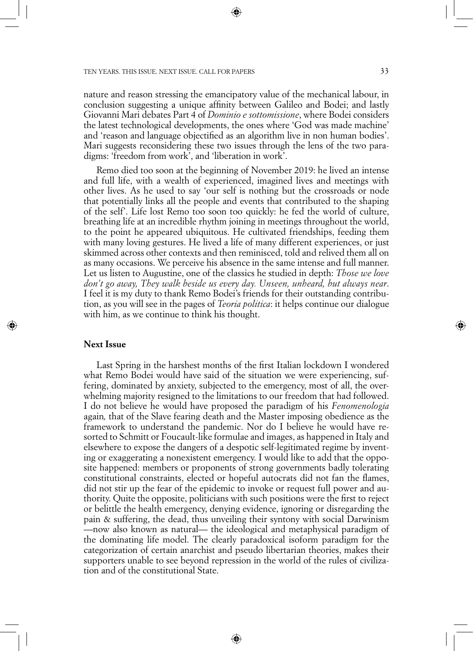nature and reason stressing the emancipatory value of the mechanical labour, in conclusion suggesting a unique affinity between Galileo and Bodei; and lastly Giovanni Mari debates Part 4 of *Dominio e sottomissione*, where Bodei considers the latest technological developments, the ones where 'God was made machine' and 'reason and language objectified as an algorithm live in non human bodies'. Mari suggests reconsidering these two issues through the lens of the two paradigms: 'freedom from work', and 'liberation in work'.

Remo died too soon at the beginning of November 2019: he lived an intense and full life, with a wealth of experienced, imagined lives and meetings with other lives. As he used to say 'our self is nothing but the crossroads or node that potentially links all the people and events that contributed to the shaping of the self'. Life lost Remo too soon too quickly: he fed the world of culture, breathing life at an incredible rhythm joining in meetings throughout the world, to the point he appeared ubiquitous. He cultivated friendships, feeding them with many loving gestures. He lived a life of many different experiences, or just skimmed across other contexts and then reminisced, told and relived them all on as many occasions. We perceive his absence in the same intense and full manner. Let us listen to Augustine, one of the classics he studied in depth: *Those we love don't go away, They walk beside us every day. Unseen, unheard, but always near*. I feel it is my duty to thank Remo Bodei's friends for their outstanding contribution, as you will see in the pages of *Teoria politica*: it helps continue our dialogue with him, as we continue to think his thought.

#### **Next Issue**

Last Spring in the harshest months of the first Italian lockdown I wondered what Remo Bodei would have said of the situation we were experiencing, suffering, dominated by anxiety, subjected to the emergency, most of all, the overwhelming majority resigned to the limitations to our freedom that had followed. I do not believe he would have proposed the paradigm of his *Fenomenologia*  again*,* that of the Slave fearing death and the Master imposing obedience as the framework to understand the pandemic. Nor do I believe he would have resorted to Schmitt or Foucault-like formulae and images, as happened in Italy and elsewhere to expose the dangers of a despotic self-legitimated regime by inventing or exaggerating a nonexistent emergency. I would like to add that the opposite happened: members or proponents of strong governments badly tolerating constitutional constraints, elected or hopeful autocrats did not fan the flames, did not stir up the fear of the epidemic to invoke or request full power and authority. Quite the opposite, politicians with such positions were the first to reject or belittle the health emergency, denying evidence, ignoring or disregarding the pain & suffering, the dead, thus unveiling their syntony with social Darwinism —now also known as natural— the ideological and metaphysical paradigm of the dominating life model. The clearly paradoxical isoform paradigm for the categorization of certain anarchist and pseudo libertarian theories, makes their supporters unable to see beyond repression in the world of the rules of civilization and of the constitutional State.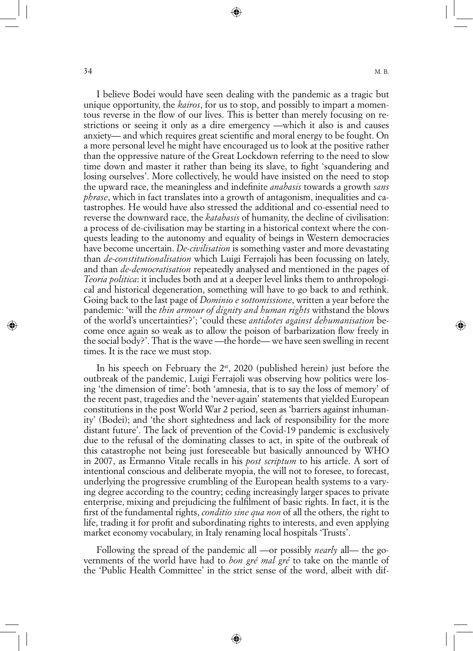I believe Bodei would have seen dealing with the pandemic as a tragic but unique opportunity, the *kairos*, for us to stop, and possibly to impart a momentous reverse in the flow of our lives. This is better than merely focusing on restrictions or seeing it only as a dire emergency —which it also is and causes anxiety— and which requires great scientific and moral energy to be fought. On a more personal level he might have encouraged us to look at the positive rather than the oppressive nature of the Great Lockdown referring to the need to slow time down and master it rather than being its slave, to fight 'squandering and losing ourselves'. More collectively, he would have insisted on the need to stop the upward race, the meaningless and indefinite *anabasis* towards a growth *sans phrase*, which in fact translates into a growth of antagonism, inequalities and catastrophes. He would have also stressed the additional and co-essential need to reverse the downward race, the *katabasis* of humanity, the decline of civilisation: a process of de-civilisation may be starting in a historical context where the conquests leading to the autonomy and equality of beings in Western democracies have become uncertain. *De-civilisation* is something vaster and more devastating than *de-constitutionalisation* which Luigi Ferrajoli has been focussing on lately, and than *de-democratisation* repeatedly analysed and mentioned in the pages of *Teoria politica*: it includes both and at a deeper level links them to anthropological and historical degeneration, something will have to go back to and rethink. Going back to the last page of *Dominio e sottomissione*, written a year before the pandemic: 'will the *thin armour of dignity and human rights* withstand the blows of the world's uncertainties?'; 'could these *antidotes against dehumanisation* become once again so weak as to allow the poison of barbarization flow freely in the social body?'. That is the wave —the horde— we have seen swelling in recent times. It is the race we must stop.

In his speech on February the  $2^{st}$ , 2020 (published herein) just before the outbreak of the pandemic, Luigi Ferrajoli was observing how politics were losing 'the dimension of time': both 'amnesia, that is to say the loss of memory' of the recent past, tragedies and the 'never-again' statements that yielded European constitutions in the post World War 2 period, seen as 'barriers against inhumanity' (Bodei); and 'the short sightedness and lack of responsibility for the more distant future'. The lack of prevention of the Covid-19 pandemic is exclusively due to the refusal of the dominating classes to act, in spite of the outbreak of this catastrophe not being just foreseeable but basically announced by WHO in 2007, as Ermanno Vitale recalls in his *post scriptum* to his article. A sort of intentional conscious and deliberate myopia, the will not to foresee, to forecast, underlying the progressive crumbling of the European health systems to a varying degree according to the country; ceding increasingly larger spaces to private enterprise, mixing and prejudicing the fulfilment of basic rights. In fact, it is the first of the fundamental rights, *conditio sine qua non* of all the others, the right to life, trading it for profit and subordinating rights to interests, and even applying market economy vocabulary, in Italy renaming local hospitals 'Trusts'.

Following the spread of the pandemic all —or possibly *nearly* all— the governments of the world have had to *bon gré mal gré* to take on the mantle of the 'Public Health Committee' in the strict sense of the word, albeit with dif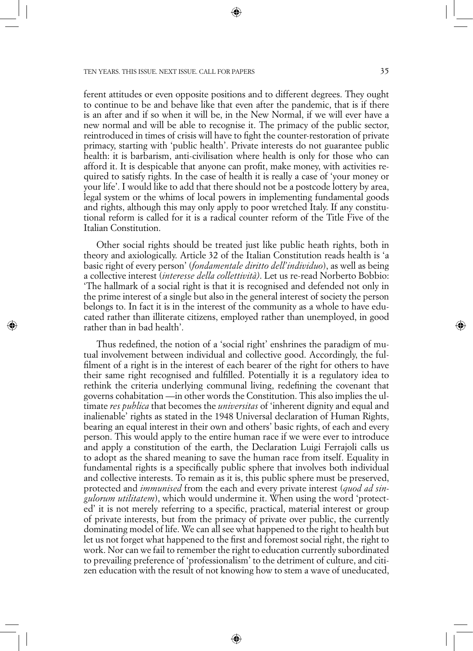ferent attitudes or even opposite positions and to different degrees. They ought to continue to be and behave like that even after the pandemic, that is if there is an after and if so when it will be, in the New Normal, if we will ever have a new normal and will be able to recognise it. The primacy of the public sector, reintroduced in times of crisis will have to fight the counter-restoration of private primacy, starting with 'public health'. Private interests do not guarantee public health: it is barbarism, anti-civilisation where health is only for those who can afford it. It is despicable that anyone can profit, make money, with activities required to satisfy rights. In the case of health it is really a case of 'your money or your life'. I would like to add that there should not be a postcode lottery by area, legal system or the whims of local powers in implementing fundamental goods and rights, although this may only apply to poor wretched Italy. If any constitutional reform is called for it is a radical counter reform of the Title Five of the Italian Constitution.

Other social rights should be treated just like public heath rights, both in theory and axiologically. Article 32 of the Italian Constitution reads health is 'a basic right of every person' (*fondamentale diritto dell'individuo*), as well as being a collective interest (*interesse della collettività)*. Let us re-read Norberto Bobbio: 'The hallmark of a social right is that it is recognised and defended not only in the prime interest of a single but also in the general interest of society the person belongs to. In fact it is in the interest of the community as a whole to have educated rather than illiterate citizens, employed rather than unemployed, in good rather than in bad health'.

Thus redefined, the notion of a 'social right' enshrines the paradigm of mutual involvement between individual and collective good. Accordingly, the fulfilment of a right is in the interest of each bearer of the right for others to have their same right recognised and fulfilled. Potentially it is a regulatory idea to rethink the criteria underlying communal living, redefining the covenant that governs cohabitation —in other words the Constitution. This also implies the ultimate *res publica* that becomes the *universitas* of 'inherent dignity and equal and inalienable' rights as stated in the 1948 Universal declaration of Human Rights, bearing an equal interest in their own and others' basic rights, of each and every person. This would apply to the entire human race if we were ever to introduce and apply a constitution of the earth, the Declaration Luigi Ferrajoli calls us to adopt as the shared meaning to save the human race from itself. Equality in fundamental rights is a specifically public sphere that involves both individual and collective interests. To remain as it is, this public sphere must be preserved, protected and *immunised* from the each and every private interest (*quod ad singulorum utilitatem*), which would undermine it. When using the word 'protected' it is not merely referring to a specific, practical, material interest or group of private interests, but from the primacy of private over public, the currently dominating model of life. We can all see what happened to the right to health but let us not forget what happened to the first and foremost social right, the right to work. Nor can we fail to remember the right to education currently subordinated to prevailing preference of 'professionalism' to the detriment of culture, and citizen education with the result of not knowing how to stem a wave of uneducated,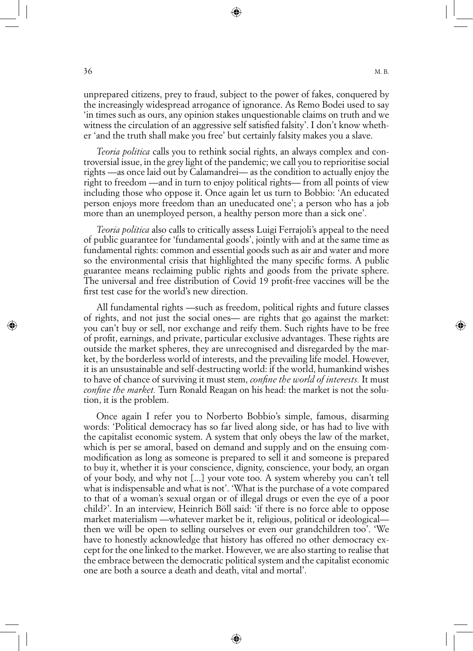unprepared citizens, prey to fraud, subject to the power of fakes, conquered by the increasingly widespread arrogance of ignorance. As Remo Bodei used to say 'in times such as ours, any opinion stakes unquestionable claims on truth and we witness the circulation of an aggressive self satisfied falsity'. I don't know whether 'and the truth shall make you free' but certainly falsity makes you a slave.

*Teoria politica* calls you to rethink social rights, an always complex and controversial issue, in the grey light of the pandemic; we call you to reprioritise social rights —as once laid out by Calamandrei— as the condition to actually enjoy the right to freedom —and in turn to enjoy political rights— from all points of view including those who oppose it. Once again let us turn to Bobbio: 'An educated person enjoys more freedom than an uneducated one'; a person who has a job more than an unemployed person, a healthy person more than a sick one'.

*Teoria politica* also calls to critically assess Luigi Ferrajoli's appeal to the need of public guarantee for 'fundamental goods', jointly with and at the same time as fundamental rights: common and essential goods such as air and water and more so the environmental crisis that highlighted the many specific forms. A public guarantee means reclaiming public rights and goods from the private sphere. The universal and free distribution of Covid 19 profit-free vaccines will be the first test case for the world's new direction.

All fundamental rights —such as freedom, political rights and future classes of rights, and not just the social ones— are rights that go against the market: you can't buy or sell, nor exchange and reify them. Such rights have to be free of profit, earnings, and private, particular exclusive advantages. These rights are outside the market spheres, they are unrecognised and disregarded by the market, by the borderless world of interests, and the prevailing life model. However, it is an unsustainable and self-destructing world: if the world, humankind wishes to have of chance of surviving it must stem, *confine the world of interests.* It must *confine the market.* Turn Ronald Reagan on his head: the market is not the solution, it is the problem.

Once again I refer you to Norberto Bobbio's simple, famous, disarming words: 'Political democracy has so far lived along side, or has had to live with the capitalist economic system. A system that only obeys the law of the market, which is per se amoral, based on demand and supply and on the ensuing commodification as long as someone is prepared to sell it and someone is prepared to buy it, whether it is your conscience, dignity, conscience, your body, an organ of your body, and why not [...] your vote too. A system whereby you can't tell what is indispensable and what is not'. 'What is the purchase of a vote compared to that of a woman's sexual organ or of illegal drugs or even the eye of a poor child?'. In an interview, Heinrich Böll said: 'if there is no force able to oppose market materialism —whatever market be it, religious, political or ideological then we will be open to selling ourselves or even our grandchildren too'. 'We have to honestly acknowledge that history has offered no other democracy except for the one linked to the market. However, we are also starting to realise that the embrace between the democratic political system and the capitalist economic one are both a source a death and death, vital and mortal'.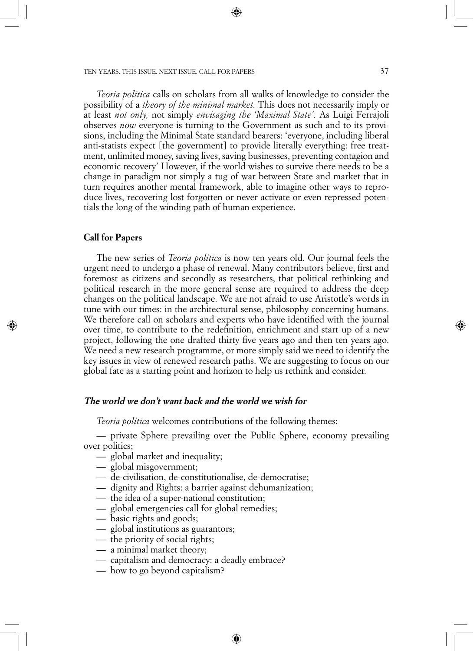*Teoria politica* calls on scholars from all walks of knowledge to consider the possibility of a *theory of the minimal market.* This does not necessarily imply or at least *not only,* not simply *envisaging the 'Maximal State'.* As Luigi Ferrajoli observes *now* everyone is turning to the Government as such and to its provisions, including the Minimal State standard bearers: 'everyone, including liberal anti-statists expect [the government] to provide literally everything: free treatment, unlimited money, saving lives, saving businesses, preventing contagion and economic recovery' However, if the world wishes to survive there needs to be a change in paradigm not simply a tug of war between State and market that in turn requires another mental framework, able to imagine other ways to reproduce lives, recovering lost forgotten or never activate or even repressed potentials the long of the winding path of human experience.

#### **Call for Papers**

The new series of *Teoria politica* is now ten years old. Our journal feels the urgent need to undergo a phase of renewal. Many contributors believe, first and foremost as citizens and secondly as researchers, that political rethinking and political research in the more general sense are required to address the deep changes on the political landscape. We are not afraid to use Aristotle's words in tune with our times: in the architectural sense, philosophy concerning humans. We therefore call on scholars and experts who have identified with the journal over time, to contribute to the redefinition, enrichment and start up of a new project, following the one drafted thirty five years ago and then ten years ago. We need a new research programme, or more simply said we need to identify the key issues in view of renewed research paths. We are suggesting to focus on our global fate as a starting point and horizon to help us rethink and consider.

#### **The world we don't want back and the world we wish for**

*Teoria politica* welcomes contributions of the following themes:

— private Sphere prevailing over the Public Sphere, economy prevailing over politics;

- global market and inequality;
- global misgovernment;
- de-civilisation, de-constitutionalise, de-democratise;
- dignity and Rights: a barrier against dehumanization;
- the idea of a super-national constitution;
- global emergencies call for global remedies;
- basic rights and goods;
- global institutions as guarantors;
- the priority of social rights;
- a minimal market theory;
- capitalism and democracy: a deadly embrace?
- how to go beyond capitalism?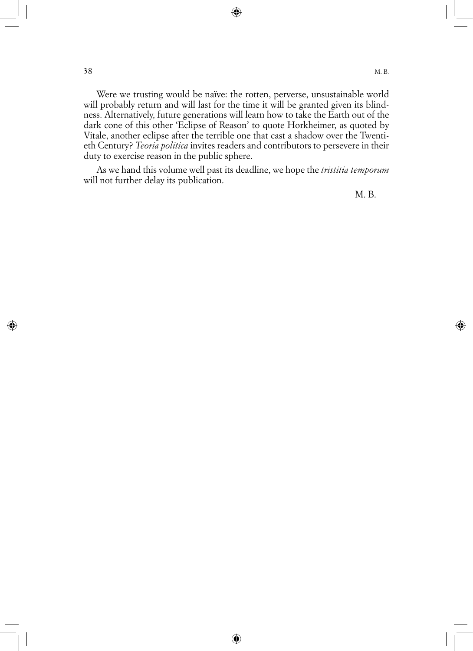Were we trusting would be naïve: the rotten, perverse, unsustainable world will probably return and will last for the time it will be granted given its blindness. Alternatively, future generations will learn how to take the Earth out of the dark cone of this other 'Eclipse of Reason' to quote Horkheimer, as quoted by Vitale, another eclipse after the terrible one that cast a shadow over the Twentieth Century? *Teoria politica* invites readers and contributors to persevere in their duty to exercise reason in the public sphere.

As we hand this volume well past its deadline, we hope the *tristitia temporum* will not further delay its publication.

M. B.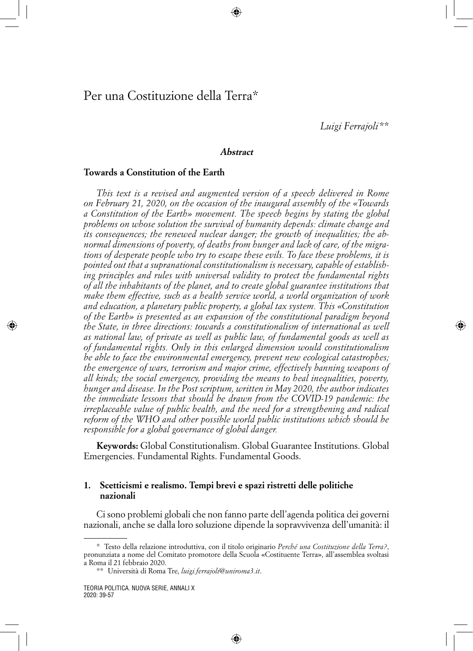*Luigi Ferrajoli* \*\*

#### **Abstract**

#### **Towards a Constitution of the Earth**

*This text is a revised and augmented version of a speech delivered in Rome on February 21, 2020, on the occasion of the inaugural assembly of the «Towards a Constitution of the Earth» movement. The speech begins by stating the global problems on whose solution the survival of humanity depends: climate change and its consequences; the renewed nuclear danger; the growth of inequalities; the abnormal dimensions of poverty, of deaths from hunger and lack of care, of the migrations of desperate people who try to escape these evils. To face these problems, it is pointed out that a supranational constitutionalism is necessary, capable of establishing principles and rules with universal validity to protect the fundamental rights of all the inhabitants of the planet, and to create global guarantee institutions that make them effective, such as a health service world, a world organization of work and education, a planetary public property, a global tax system. This «Constitution of the Earth» is presented as an expansion of the constitutional paradigm beyond the State, in three directions: towards a constitutionalism of international as well as national law, of private as well as public law, of fundamental goods as well as of fundamental rights. Only in this enlarged dimension would constitutionalism be able to face the environmental emergency, prevent new ecological catastrophes; the emergence of wars, terrorism and major crime, effectively banning weapons of all kinds; the social emergency, providing the means to heal inequalities, poverty, hunger and disease. In the Post scriptum, written in May 2020, the author indicates the immediate lessons that should be drawn from the COVID-19 pandemic: the irreplaceable value of public health, and the need for a strengthening and radical reform of the WHO and other possible world public institutions which should be responsible for a global governance of global danger.*

**Keywords:** Global Constitutionalism. Global Guarantee Institutions. Global Emergencies. Fundamental Rights. Fundamental Goods.

#### **1. Scetticismi e realismo. Tempi brevi e spazi ristretti delle politiche nazionali**

Ci sono problemi globali che non fanno parte dell'agenda politica dei governi nazionali, anche se dalla loro soluzione dipende la sopravvivenza dell'umanità: il

<sup>\*</sup> Testo della relazione introduttiva, con il titolo originario *Perché una Costituzione della Terra?*, pronunziata a nome del Comitato promotore della Scuola «Costituente Terra», all'assemblea svoltasi a Roma il 21 febbraio 2020.

<sup>\*\*</sup> Università di Roma Tre, *luigi.ferrajoli@uniroma3.it*.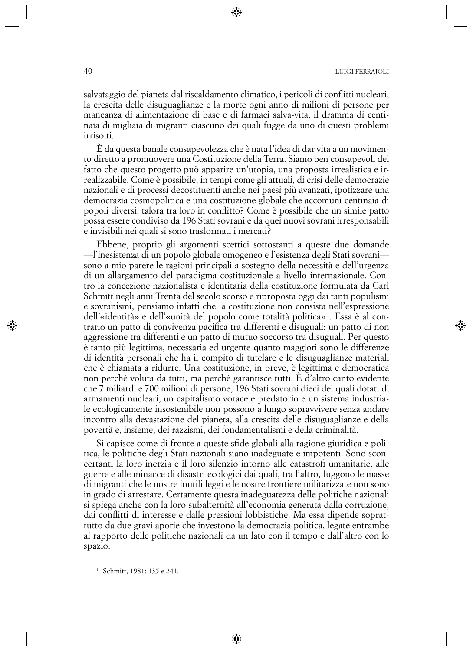40 Luigi Ferrajoli

salvataggio del pianeta dal riscaldamento climatico, i pericoli di conflitti nucleari, la crescita delle disuguaglianze e la morte ogni anno di milioni di persone per mancanza di alimentazione di base e di farmaci salva-vita, il dramma di centinaia di migliaia di migranti ciascuno dei quali fugge da uno di questi problemi irrisolti.

È da questa banale consapevolezza che è nata l'idea di dar vita a un movimento diretto a promuovere una Costituzione della Terra. Siamo ben consapevoli del fatto che questo progetto può apparire un'utopia, una proposta irrealistica e irrealizzabile. Come è possibile, in tempi come gli attuali, di crisi delle democrazie nazionali e di processi decostituenti anche nei paesi più avanzati, ipotizzare una democrazia cosmopolitica e una costituzione globale che accomuni centinaia di popoli diversi, talora tra loro in conflitto? Come è possibile che un simile patto possa essere condiviso da 196 Stati sovrani e da quei nuovi sovrani irresponsabili e invisibili nei quali si sono trasformati i mercati?

Ebbene, proprio gli argomenti scettici sottostanti a queste due domande —l'inesistenza di un popolo globale omogeneo e l'esistenza degli Stati sovrani sono a mio parere le ragioni principali a sostegno della necessità e dell'urgenza di un allargamento del paradigma costituzionale a livello internazionale. Contro la concezione nazionalista e identitaria della costituzione formulata da Carl Schmitt negli anni Trenta del secolo scorso e riproposta oggi dai tanti populismi e sovranismi, pensiamo infatti che la costituzione non consista nell'espressione dell'«identità» e dell'«unità del popolo come totalità politica» 1 . Essa è al contrario un patto di convivenza pacifica tra differenti e disuguali: un patto di non aggressione tra differenti e un patto di mutuo soccorso tra disuguali. Per questo è tanto più legittima, necessaria ed urgente quanto maggiori sono le differenze di identità personali che ha il compito di tutelare e le disuguaglianze materiali che è chiamata a ridurre. Una costituzione, in breve, è legittima e democratica non perché voluta da tutti, ma perché garantisce tutti. È d'altro canto evidente che 7 miliardi e 700 milioni di persone, 196 Stati sovrani dieci dei quali dotati di armamenti nucleari, un capitalismo vorace e predatorio e un sistema industriale ecologicamente insostenibile non possono a lungo sopravvivere senza andare incontro alla devastazione del pianeta, alla crescita delle disuguaglianze e della povertà e, insieme, dei razzismi, dei fondamentalismi e della criminalità.

Si capisce come di fronte a queste sfide globali alla ragione giuridica e politica, le politiche degli Stati nazionali siano inadeguate e impotenti. Sono sconcertanti la loro inerzia e il loro silenzio intorno alle catastrofi umanitarie, alle guerre e alle minacce di disastri ecologici dai quali, tra l'altro, fuggono le masse di migranti che le nostre inutili leggi e le nostre frontiere militarizzate non sono in grado di arrestare. Certamente questa inadeguatezza delle politiche nazionali si spiega anche con la loro subalternità all'economia generata dalla corruzione, dai conflitti di interesse e dalle pressioni lobbistiche. Ma essa dipende soprattutto da due gravi aporie che investono la democrazia politica, legate entrambe al rapporto delle politiche nazionali da un lato con il tempo e dall'altro con lo spazio.

<sup>1</sup> Schmitt, 1981: 135 e 241.